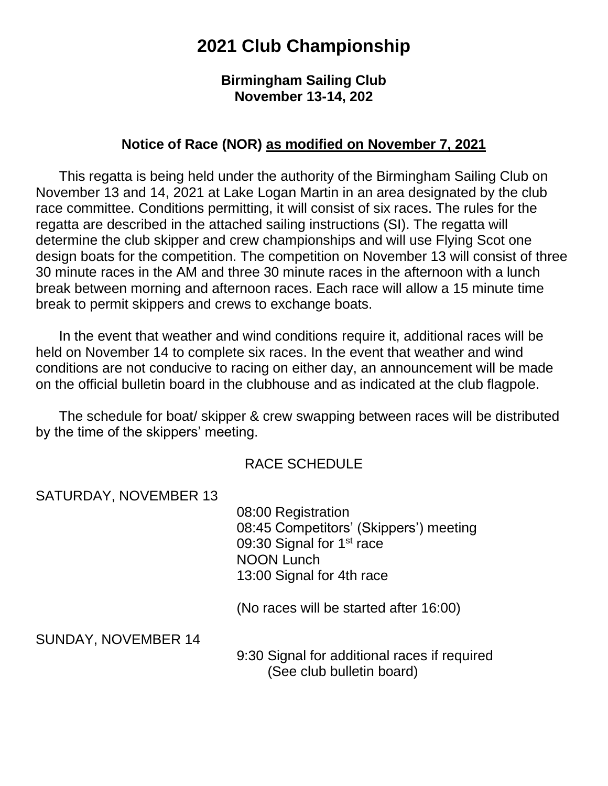# **2021 Club Championship**

#### **Birmingham Sailing Club November 13-14, 202**

#### **Notice of Race (NOR) as modified on November 7, 2021**

This regatta is being held under the authority of the Birmingham Sailing Club on November 13 and 14, 2021 at Lake Logan Martin in an area designated by the club race committee. Conditions permitting, it will consist of six races. The rules for the regatta are described in the attached sailing instructions (SI). The regatta will determine the club skipper and crew championships and will use Flying Scot one design boats for the competition. The competition on November 13 will consist of three 30 minute races in the AM and three 30 minute races in the afternoon with a lunch break between morning and afternoon races. Each race will allow a 15 minute time break to permit skippers and crews to exchange boats.

 In the event that weather and wind conditions require it, additional races will be held on November 14 to complete six races. In the event that weather and wind conditions are not conducive to racing on either day, an announcement will be made on the official bulletin board in the clubhouse and as indicated at the club flagpole.

 The schedule for boat/ skipper & crew swapping between races will be distributed by the time of the skippers' meeting.

#### RACE SCHEDULE

SATURDAY, NOVEMBER 13

 08:00 Registration 08:45 Competitors' (Skippers') meeting 09:30 Signal for 1<sup>st</sup> race NOON Lunch 13:00 Signal for 4th race

(No races will be started after 16:00)

SUNDAY, NOVEMBER 14

 9:30 Signal for additional races if required (See club bulletin board)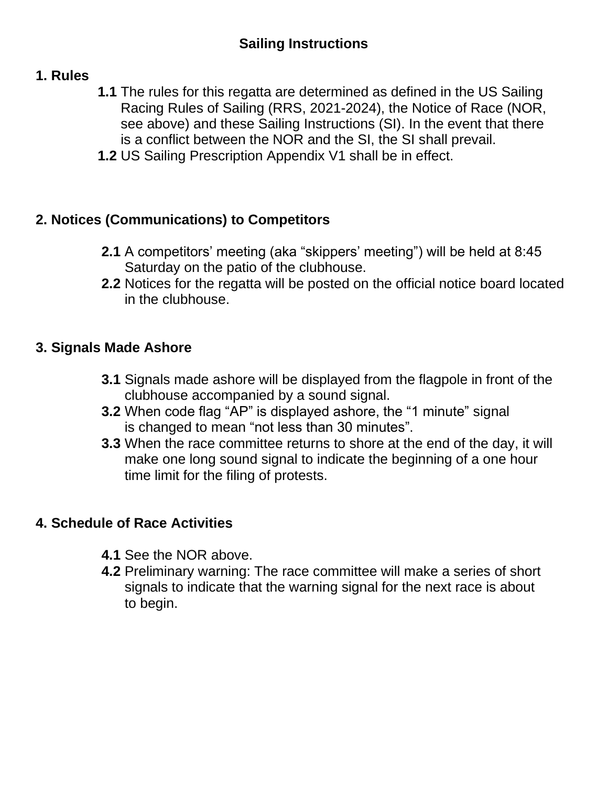### **1. Rules**

- **1.1** The rules for this regatta are determined as defined in the US Sailing Racing Rules of Sailing (RRS, 2021-2024), the Notice of Race (NOR, see above) and these Sailing Instructions (SI). In the event that there is a conflict between the NOR and the SI, the SI shall prevail.
- **1.2** US Sailing Prescription Appendix V1 shall be in effect.

# **2. Notices (Communications) to Competitors**

- **2.1** A competitors' meeting (aka "skippers' meeting") will be held at 8:45 Saturday on the patio of the clubhouse.
- **2.2** Notices for the regatta will be posted on the official notice board located in the clubhouse.

### **3. Signals Made Ashore**

- **3.1** Signals made ashore will be displayed from the flagpole in front of the clubhouse accompanied by a sound signal.
- **3.2** When code flag "AP" is displayed ashore, the "1 minute" signal is changed to mean "not less than 30 minutes".
- **3.3** When the race committee returns to shore at the end of the day, it will make one long sound signal to indicate the beginning of a one hour time limit for the filing of protests.

# **4. Schedule of Race Activities**

- **4.1** See the NOR above.
- **4.2** Preliminary warning: The race committee will make a series of short signals to indicate that the warning signal for the next race is about to begin.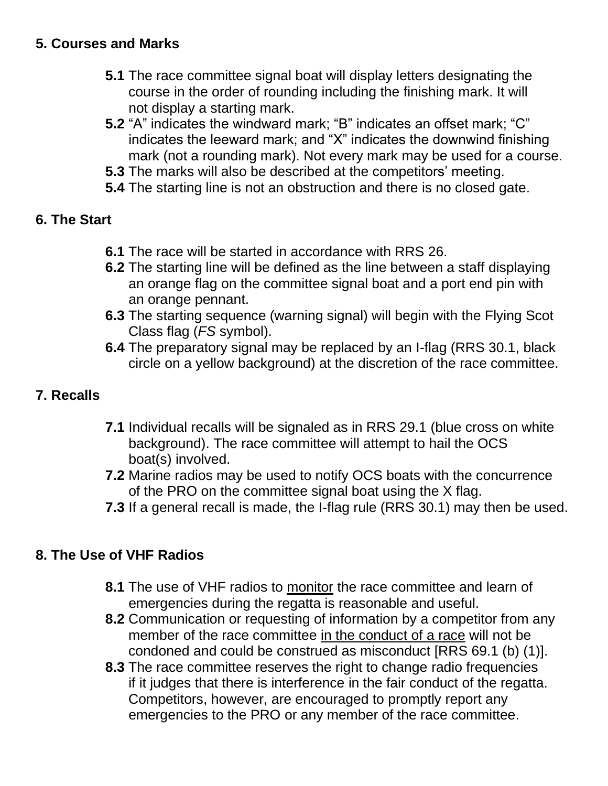- **5.1** The race committee signal boat will display letters designating the course in the order of rounding including the finishing mark. It will not display a starting mark.
- **5.2** "A" indicates the windward mark; "B" indicates an offset mark; "C" indicates the leeward mark; and "X" indicates the downwind finishing mark (not a rounding mark). Not every mark may be used for a course.
- **5.3** The marks will also be described at the competitors' meeting.
- **5.4** The starting line is not an obstruction and there is no closed gate.

# **6. The Start**

- **6.1** The race will be started in accordance with RRS 26.
- **6.2** The starting line will be defined as the line between a staff displaying an orange flag on the committee signal boat and a port end pin with an orange pennant.
- **6.3** The starting sequence (warning signal) will begin with the Flying Scot Class flag (*FS* symbol).
- **6.4** The preparatory signal may be replaced by an I-flag (RRS 30.1, black circle on a yellow background) at the discretion of the race committee.

# **7. Recalls**

- **7.1** Individual recalls will be signaled as in RRS 29.1 (blue cross on white background). The race committee will attempt to hail the OCS boat(s) involved.
- **7.2** Marine radios may be used to notify OCS boats with the concurrence of the PRO on the committee signal boat using the X flag.
- **7.3** If a general recall is made, the I-flag rule (RRS 30.1) may then be used.

# **8. The Use of VHF Radios**

- **8.1** The use of VHF radios to monitor the race committee and learn of emergencies during the regatta is reasonable and useful.
- **8.2** Communication or requesting of information by a competitor from any member of the race committee in the conduct of a race will not be condoned and could be construed as misconduct [RRS 69.1 (b) (1)].
- **8.3** The race committee reserves the right to change radio frequencies if it judges that there is interference in the fair conduct of the regatta. Competitors, however, are encouraged to promptly report any emergencies to the PRO or any member of the race committee.